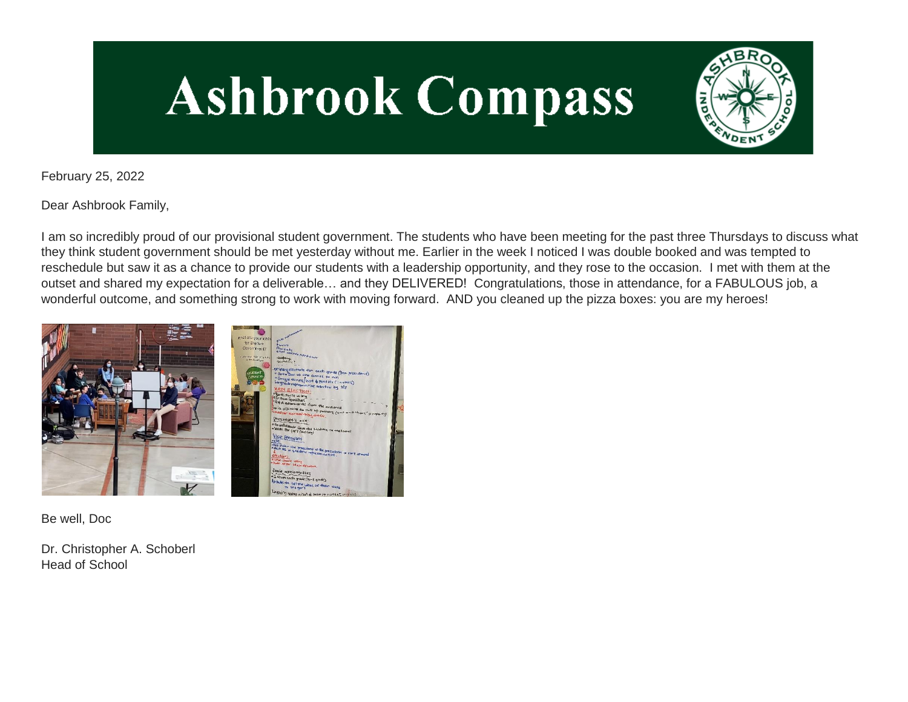# **Ashbrook Compass**



February 25, 2022

Dear Ashbrook Family,

I am so incredibly proud of our provisional student government. The students who have been meeting for the past three Thursdays to discuss what they think student government should be met yesterday without me. Earlier in the week I noticed I was double booked and was tempted to reschedule but saw it as a chance to provide our students with a leadership opportunity, and they rose to the occasion. I met with them at the outset and shared my expectation for a deliverable… and they DELIVERED! Congratulations, those in attendance, for a FABULOUS job, a wonderful outcome, and something strong to work with moving forward. AND you cleaned up the pizza boxes: you are my heroes!



Be well, Doc

Dr. Christopher A. Schoberl Head of School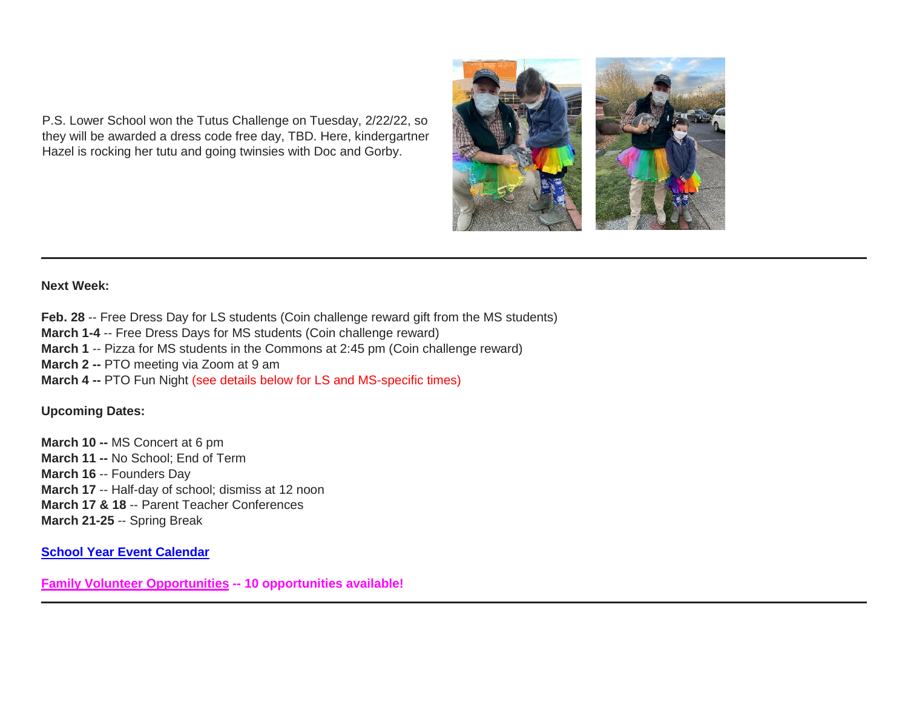P.S. Lower School won the Tutus Challenge on Tuesday, 2/22/22, so they will be awarded a dress code free day, TBD. Here, kindergartner Hazel is rocking her tutu and going twinsies with Doc and Gorby.



## **Next Week:**

Feb. 28 -- Free Dress Day for LS students (Coin challenge reward gift from the MS students) **March 1-4** -- Free Dress Days for MS students (Coin challenge reward) **March 1** -- Pizza for MS students in the Commons at 2:45 pm (Coin challenge reward) **March 2 -- PTO meeting via Zoom at 9 am March 4 --** PTO Fun Night (see details below for LS and MS-specific times)

#### **Upcoming Dates:**

**March 10 --** MS Concert at 6 pm **March 11 --** No School; End of Term **March 16** -- Founders Day **March 17** -- Half-day of school; dismiss at 12 noon **March 17 & 18** -- Parent Teacher Conferences **March 21-25** -- Spring Break

# **[School Year Event Calendar](http://link.mystudentsprogress.com/ls/click?upn=n7jYKe39nC4PrVAw2BzaOolgU5XUleaJ61qfvNJxTW3uoi8RFzNYUfSc1qXdqajA34djZWrxIBJBxzp2whbybvqIYp3dDOkCDgKesziBdCm1u7J5UB6bwQicng-2BhFj8jm5vDG0tBEB0sO-2FO3RXilW8Csk5oOSfGUUXvh5WSdqhvDojIY5znyF-2BOYIJP1WK6B-8Gt_1PndbFfBoQGSZbxwXHHEexw3B2F0fG-2BUmuXm6a-2BX-2Bzt37bmPwv4aifu-2BYhx0Q5HgHAtNYMBf7TZOcuiLHgTYXPUeyiJVKKyLEwy59o3A-2BTMeIueLEhEc7oNv7qZaUbENgGHUT7jclJlyjPZkOiQfcG536iO9vh7OnGJ1ly9WGsYdcJNaqQPs8h-2FfwPOwG-2Bax4tiz9RSc7X0PdvKBnOUIA76teJY-2Fv1zcRhHSV4FzY5R-2FqK0YZ7ZiKGtBQj3t6U7N7z8HNOuVbMfxJGdbCSsoCopHJLza9WVkRT6nj7Fdbx6shW2AjnJtXzF5I6E-2F5monh9fR11WpSNoP8ny2r3TrVpXhZpmPs-2F6QACiYX1qqwVEGOlPrqQDNr5-2BQP-2FrzzqAGCkKa2pBzkiyI3vwsOJnMDY6T7n3FiQShdrFzjrKz6xlO8IXeg1yEcMJWDdKk27qg)**

**[Family Volunteer Opportunities](http://link.mystudentsprogress.com/ls/click?upn=VpBe6Z9t6RkEC4qAoQCerkRqVNRJCi4SE2bZPjoSvlxSlLFpfnUYhuutAutUGnBh84nj-2BJvhJlx1K1dJMDDqBY1qLZ1O0nCcHebienBZj-2BKxsXBin-2FugM50Q-2FqN8cLG3Urd1ZQzGcMWtkFleXRzacA-3D-3DSYYp_1PndbFfBoQGSZbxwXHHEexw3B2F0fG-2BUmuXm6a-2BX-2Bzt37bmPwv4aifu-2BYhx0Q5HgHAtNYMBf7TZOcuiLHgTYXH6-2BVS0lGk4JAPoBse5dgoMoKojJ8bfuaoABusZQX5N9wiIoG6pFNn2Sa5CPTeqRqFtbe2nrvnWelBe-2FvnMu9Fk09Xt7PlVQTyFXH-2BeE-2F6fEoD7EJC40pRV7X47DA-2BQX0PAm-2FjngsqEqw77UfbX9Qbm2DoZhyxRkUmfADRCDml-2FC-2Fw9DFdSvpnpYWMgemhTgDhDkibFiqXe8iYQDW3TqZcAOkd-2FpsLBy9rtttTP35pBHY2sM0KcMRBHI51g3HlVvZm-2BhzIVHmE550DFe3JquVkPKxnazOLBZs97pCSeIGtQHUuFhaDloPBo68gOq1v25yUB16BQuKKnArD2wmB4kcludb9vp9F39fihf3-2F65uQOa) -- 10 opportunities available!**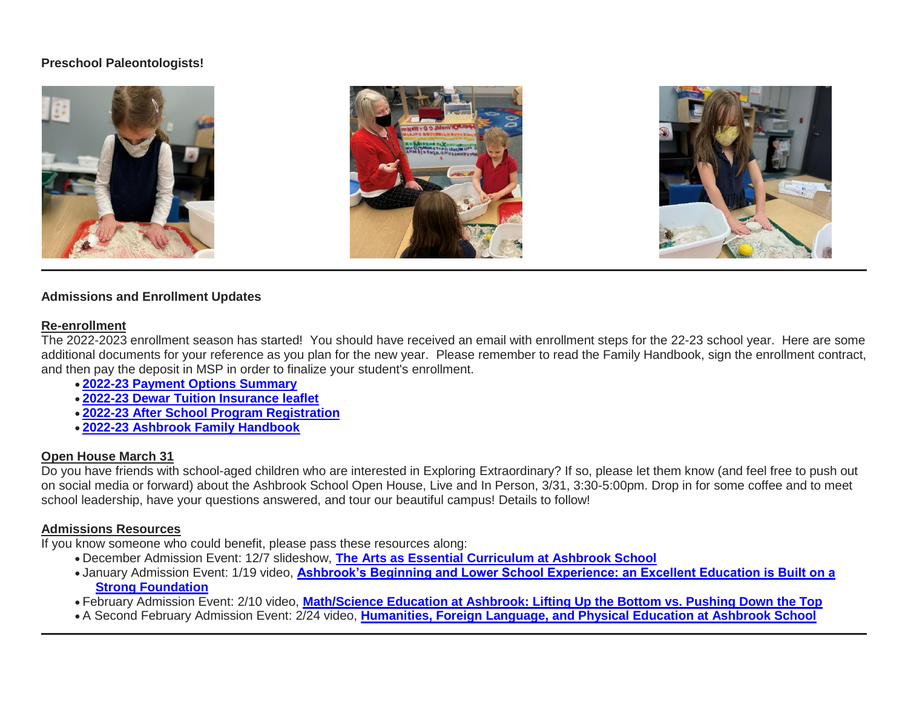## **Preschool Paleontologists!**







#### **Admissions and Enrollment Updates**

#### **Re-enrollment**

The 2022-2023 enrollment season has started! You should have received an email with enrollment steps for the 22-23 school year. Here are some additional documents for your reference as you plan for the new year. Please remember to read the Family Handbook, sign the enrollment contract, and then pay the deposit in MSP in order to finalize your student's enrollment.

- **[2022-23 Payment Options Summary](http://link.mystudentsprogress.com/ls/click?upn=n7jYKe39nC4PrVAw2BzaOolgU5XUleaJ61qfvNJxTW3uoi8RFzNYUfSc1qXdqajA34djZWrxIBJBxzp2whbybvqIYp3dDOkCDgKesziBdClkeFpPmgMGrgcxNe5TC96odu91tl93IdUb7rzqL2LYFtC2am-2BBIM47dCls51qjeV0-3DbMNw_1PndbFfBoQGSZbxwXHHEexw3B2F0fG-2BUmuXm6a-2BX-2Bzt37bmPwv4aifu-2BYhx0Q5HgHAtNYMBf7TZOcuiLHgTYXMk7VS7BAea-2BDMIkuas0DYQuqYi6-2FoE5rZmlu3uMZtYKVr1m8fpkCATQC8aWUDXEud3w9vBx-2F4NbcCWgLSfW5C-2BH8sqS-2BkrjzsDpBmWaZeOBVoMek6AdcQDRwzfmudAO35yKes6J6MDmWDkmmSLF2aP16GiOwTNlHMD9jCI8qjwBr2678vx9d736XVAKM19ftkW991I-2FVgad-2BoK5kDSxF-2FhBy0i62qntHsrVVCbgRY9nyXJb9rnSK-2BNtGv2P3ngCGWuTKy6B7AZx9yIj3v9G5ijkN8F0jG7TlJ6siD3ZAIc0CmHZwMTO1JdtTX9NjU0ZjTkmWLsaYBmq3tBu6c7FNZre-2BDZ2e8erbCR30avrD2U3)**
- **[2022-23 Dewar Tuition Insurance leaflet](http://link.mystudentsprogress.com/ls/click?upn=n7jYKe39nC4PrVAw2BzaOolgU5XUleaJ61qfvNJxTW3uoi8RFzNYUfSc1qXdqajA34djZWrxIBJBxzp2whbybvqIYp3dDOkCDgKesziBdCmKv7ixhdviv-2FmwC44NqeRkEpR0EqlRFDbLPP4oUBY3JgS-2BxTIUAg9pOXjNuHrG2gHW4aOlWy1OxP4JzdIN-2FgxfAHkC_1PndbFfBoQGSZbxwXHHEexw3B2F0fG-2BUmuXm6a-2BX-2Bzt37bmPwv4aifu-2BYhx0Q5HgHAtNYMBf7TZOcuiLHgTYXIUPSvVvl4EF2XQPQZV8dZqVI1Jsea6vCLeSQ7B7-2BnPb82aVrw0LnVNgfKUfuY4TNfx9ABI2OcqKvFf-2F4nPcD288K2O-2FwEueN3gI4wOZHs2UvhGy86ZFWMp-2FkfI4ZNA1kkiG2U8IfIQHBQIo2nDM3fFZcdRBDjdN-2FGA-2BF5gkvSHrn30RBBvGFB6DiP1oZUoqbbkcMEoeomrWVlNV2p9x-2BQyERekGcQWLS0rVHekEPr-2Ftz0GC52Oh1e97MI1faT7byUPGHJaAP-2F-2B3CvDk-2BJu5KGSXyb26nTiXQTUfa3oy7vdmVzw8034HUjqcyjEnfyzxzozdMcjJ-2F1DgU0he1Gdzp0HukJr2Kn4elQg5qGDhKVz2)**
- **[2022-23 After School Program Registration](http://link.mystudentsprogress.com/ls/click?upn=n7jYKe39nC4PrVAw2BzaOolgU5XUleaJ61qfvNJxTW3uoi8RFzNYUfSc1qXdqajA34djZWrxIBJBxzp2whbybvqIYp3dDOkCDgKesziBdCk2zoL69EF1elapRVEFs9mzF3f9wmKGKZgVh2d6-2F4A-2BgVLXq8Q8Acmh7jJG-2BzjCzXs-3D4n3o_1PndbFfBoQGSZbxwXHHEexw3B2F0fG-2BUmuXm6a-2BX-2Bzt37bmPwv4aifu-2BYhx0Q5HgHAtNYMBf7TZOcuiLHgTYXFkzJOlMSSnQZm-2FtQUufg4RsUaFpIi1nW-2BKT-2FXuu5qUDrAxKzN-2ByFRh32VghLPnv9W5zcOAHmksCSIXcvNwuP-2Bo3W-2FuXU0c12GLAf-2Fp9AwgAjy-2Fa051BlDqCIMp0QuEm8UATDOCsG1hiikBAeEHyNy-2Bs9OTZqmc-2BcKu6xxFv1BSrafTgRtQgJBXEMWzHpjVWMeiFErg48k2a9XVZGPsh-2Bz3vmxMO56vmMmWlMcj-2BXOr3cXCcbo1qQBuGeUjeEkmGAwT1jbhunLp8DPgDeHwXDMIKSI6g9-2FQYAlMVd3SF1gybCEszd1gbufUmbGrUEA26CRRUvpJ9RuknHgHQz5o28ss2TBdILVrZkA9ApOos1kRP)**
- **[2022-23 Ashbrook Family Handbook](http://link.mystudentsprogress.com/ls/click?upn=n7jYKe39nC4PrVAw2BzaOolgU5XUleaJ61qfvNJxTW3uoi8RFzNYUfSc1qXdqajA34djZWrxIBJBxzp2whbybvqIYp3dDOkCDgKesziBdCm10y3DaewIztvYnTmbtKZrSM7zgMXMbd3vUX54N4ULGmQauK03d1W1q-2BxdA-2FDSbp8-3D1dYN_1PndbFfBoQGSZbxwXHHEexw3B2F0fG-2BUmuXm6a-2BX-2Bzt37bmPwv4aifu-2BYhx0Q5HgHAtNYMBf7TZOcuiLHgTYXKPmyymjIkdVeHHP7idBtqcx54qO7g33VPK2OooaYe47zpiMeHPuVOr7odgodn9M3mT5dThW6ZmaYIOKJ-2BEKuXcLH7aadSaj0Yod6Fdldb-2FGc5D5zw-2B2hXixYxPAqvlsi30K0vIICnEVRih1alWmqj6UU-2Frt3T-2Fhtp-2FRjK0eVwW9S3w6UZQSwerZlKmUzuqPP1mLDvw80ctt6ZFxwfeJ1x1tIrjpYiD6CasR9yOxV9UbS3Zoe-2F1Fvg0-2FeE01T4cn2FPtlTACbYtqCIaAcV5Q18fh-2F7eyyo7wiavgJSnBP-2BZFOvnqDQGWbqBaFr93ENZI8nJSDSxs5gGWaIyc1kJoD0chkB5T-2FM8DC7CxN4gXAhKM)**

## **Open House March 31**

Do you have friends with school-aged children who are interested in Exploring Extraordinary? If so, please let them know (and feel free to push out on social media or forward) about the Ashbrook School Open House, Live and In Person, 3/31, 3:30-5:00pm. Drop in for some coffee and to meet school leadership, have your questions answered, and tour our beautiful campus! Details to follow!

# **Admissions Resources**

If you know someone who could benefit, please pass these resources along:

- December Admission Event: 12/7 slideshow, **[The Arts as Essential Curriculum at Ashbrook School](http://link.mystudentsprogress.com/ls/click?upn=VpBe6Z9t6RkEC4qAoQCertKzhjEDinKc0CfI3IvbCQdAUGivbUo1ZPD28lUVkIpyGu-2F3iyG4XxBZqKyx0zVEQbqdNmInL0lGt-2FSwwTpFjpXb1cd7PE4kL-2F96nplm-2FTn3EctG_1PndbFfBoQGSZbxwXHHEexw3B2F0fG-2BUmuXm6a-2BX-2Bzt37bmPwv4aifu-2BYhx0Q5HgHAtNYMBf7TZOcuiLHgTYXMLmJaECutELRilxLmUlqnTtVz3prl-2FLzNmzk6kftNFHCB-2FuvT6FgINuvMl4InwvBe9spvl9b7gjIDgvAi4WeTx-2Bonb8zDWjrsGhbhHVmlYIB1CFFSeWWhQwU95khHtSkKQMK9Ic1dV5Tp7QOpULHMMveTEXq8XX5J7L4gGaPph1lyzCJsObMqRQsjbTj8wQAJkqTzixYtvs8fRocHIj7RwvtkOWYxpp8uDEaBNx3mlz8nmprW-2BnLE80MFJ38fDK7vrwJNCUubSNE8E1fR3N25ac0oDbow6Bt9USnSlmCQUjlhEnMwL5yEpbCPCA10k-2BSqnWImJbtygmOOye4eZG42fE8FKoTX9eGz-2BV6RTG8iJM)**
- January Admission Event: 1/19 video, **[Ashbrook's Beginning and Lower School Experience: an Excellent Education is Built on a](http://link.mystudentsprogress.com/ls/click?upn=VpBe6Z9t6RkEC4qAoQCertKzhjEDinKc0CfI3IvbCQcj-2FMXFM42TVH6rCD0ujHzqWqw-2BuBJp3PwgDrJbc3MENop-2F4KTzDhISrUM0n5UnrJQ-2Fe1MM7jG-2BVXvLYzStIms8HfWt_1PndbFfBoQGSZbxwXHHEexw3B2F0fG-2BUmuXm6a-2BX-2Bzt37bmPwv4aifu-2BYhx0Q5HgHAtNYMBf7TZOcuiLHgTYXLdo2XQng8fR1evh97cYus1RESfUODMLm567-2BNlYXBNairovbOo1rMvB6yk-2FLfbckTM5nnKxajkwHgCCONK2s46eFn1cyWcN1q91z6KVRDtde5toOq9UQOhT63WTQR3X1FyGAIG3PkHDbLNDN77h-2F04q6PMrtIKUCOlPrgr-2BPyyntXKfM1498OZIseYGmOD2yqedmIxY2gEU8DrFLPQhoF9z9Ov2hs5GW49YILJql-2FmmZ8YDP53U2Fc1yn68rgFWhDC-2FRjTvDl9bF7CewksmgQW608LrQtaxfXTptcoxqJWDuZGx16TwUd5sGnPJLeDxdqnE1DkrTlqX8t-2BNfMdS09s-2FRpFR2mMPjF0CtB7ap-2Bnr)  [Strong Foundation](http://link.mystudentsprogress.com/ls/click?upn=VpBe6Z9t6RkEC4qAoQCertKzhjEDinKc0CfI3IvbCQcj-2FMXFM42TVH6rCD0ujHzqWqw-2BuBJp3PwgDrJbc3MENop-2F4KTzDhISrUM0n5UnrJQ-2Fe1MM7jG-2BVXvLYzStIms8HfWt_1PndbFfBoQGSZbxwXHHEexw3B2F0fG-2BUmuXm6a-2BX-2Bzt37bmPwv4aifu-2BYhx0Q5HgHAtNYMBf7TZOcuiLHgTYXLdo2XQng8fR1evh97cYus1RESfUODMLm567-2BNlYXBNairovbOo1rMvB6yk-2FLfbckTM5nnKxajkwHgCCONK2s46eFn1cyWcN1q91z6KVRDtde5toOq9UQOhT63WTQR3X1FyGAIG3PkHDbLNDN77h-2F04q6PMrtIKUCOlPrgr-2BPyyntXKfM1498OZIseYGmOD2yqedmIxY2gEU8DrFLPQhoF9z9Ov2hs5GW49YILJql-2FmmZ8YDP53U2Fc1yn68rgFWhDC-2FRjTvDl9bF7CewksmgQW608LrQtaxfXTptcoxqJWDuZGx16TwUd5sGnPJLeDxdqnE1DkrTlqX8t-2BNfMdS09s-2FRpFR2mMPjF0CtB7ap-2Bnr)**

February Admission Event: 2/10 video, **[Math/Science Education at Ashbrook: Lifting Up the Bottom vs. Pushing Down the Top](http://link.mystudentsprogress.com/ls/click?upn=VpBe6Z9t6RkEC4qAoQCertKzhjEDinKc0CfI3IvbCQcWMZhEmzIOaoE1rrVAI5L8ZO7XS8Tv5hSiIMalu6EJjCDUJP7moAVnS2AEJdBcw2I-3DMd_7_1PndbFfBoQGSZbxwXHHEexw3B2F0fG-2BUmuXm6a-2BX-2Bzt37bmPwv4aifu-2BYhx0Q5HgHAtNYMBf7TZOcuiLHgTYXKuj-2BruZbdp3xlgDUnJnUKmdSi1ZbU7-2BWkfFH1l3k8QRcMb6zQhRl1lRygnba3DGASd4PNORAABs-2B6Ojp8r2Q3f2pJMyJ3qqYBir9-2Fji0O12oVri3g2HGtGyPHDGyq4yKzLoS4zxSCvmE881-2B5AmaZ5rv5eC4kbA-2FcG5aampmYY6m1n7h5D74tHk-2FemJbjS62J-2BWV8ld1rsLUjgXxRslqarENxR9mWRMQ-2BqpodLMaOsYXTHernLKzEyIWTDIzyqM-2F4Y-2Bht-2Ffw-2BzrUN4w8YAapKy97JyB5GFQzD-2FmWMxGWjsm9ZiWMEojEW6X0IgbKdHKLMnBGnAEzdWmHcm0SF7Z3NBiDitct7ax4-2Bj1QQwQwf6z)**

A Second February Admission Event: 2/24 video, **[Humanities, Foreign Language, and Physical Education at Ashbrook School](http://link.mystudentsprogress.com/ls/click?upn=VpBe6Z9t6RkEC4qAoQCertKzhjEDinKc0CfI3IvbCQdVZVTEFOlGsKYGq77MfEdURJQ6o-2BD42HfofdXXBWp4osH367C5cJyuKmzLhDFL5tL7ffHADe0ya5yyn-2BNlingbOSO7_1PndbFfBoQGSZbxwXHHEexw3B2F0fG-2BUmuXm6a-2BX-2Bzt37bmPwv4aifu-2BYhx0Q5HgHAtNYMBf7TZOcuiLHgTYXPywjMDUCAZLpAxdPnZiaksfoOClSLPci7cAs61gi8jvLQpOS7c4F-2FZ5CQ-2Bt50OMQMx9xyVkpqxRAut-2BqIZQF7v-2BB5dp-2BXOMC1On5c0dpH8GhDY4cvmPHj7JG2f1J4wAK-2FUfNiqO47dPCZKTgb-2Fci6Dsb5LrWy7O5-2BEj5iF-2F-2BMe2Qmq3xFeejRfYyixSsEfsaAVmw1YwdLsoTTNbHpKz-2BW-2B8vI9ZiJ0A1gKl0Tw7FMAV2aaSOE3Tr7141tkz5ArGiP75EIRGABlPYjllOHfBiY7RTNAtOd7O0mBHGE-2FopxWDF9SagJIOAma5KUDVwuk1F38C2DfiPw8WtqJMKE1Uupw-2FH3kfGfKOsTrPvApP4iok)**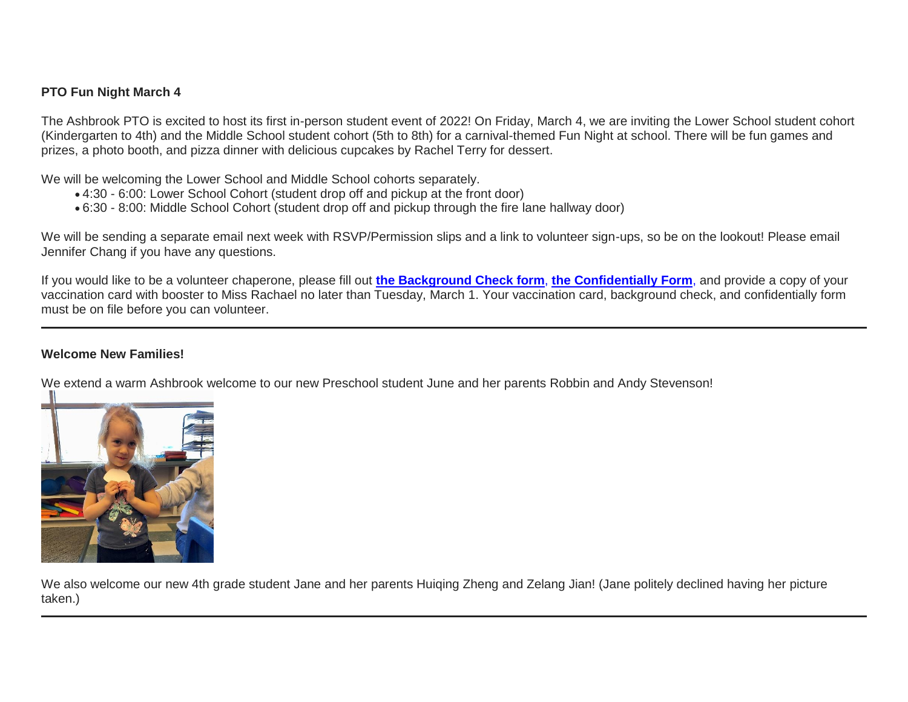## **PTO Fun Night March 4**

The Ashbrook PTO is excited to host its first in-person student event of 2022! On Friday, March 4, we are inviting the Lower School student cohort (Kindergarten to 4th) and the Middle School student cohort (5th to 8th) for a carnival-themed Fun Night at school. There will be fun games and prizes, a photo booth, and pizza dinner with delicious cupcakes by Rachel Terry for dessert.

We will be welcoming the Lower School and Middle School cohorts separately.

- 4:30 6:00: Lower School Cohort (student drop off and pickup at the front door)
- 6:30 8:00: Middle School Cohort (student drop off and pickup through the fire lane hallway door)

We will be sending a separate email next week with RSVP/Permission slips and a link to volunteer sign-ups, so be on the lookout! Please email Jennifer Chang if you have any questions.

If you would like to be a volunteer chaperone, please fill out **[the Background Check form](http://link.mystudentsprogress.com/ls/click?upn=n7jYKe39nC4PrVAw2BzaOolgU5XUleaJ61qfvNJxTW3uoi8RFzNYUfSc1qXdqajA34djZWrxIBJBxzp2whbybvqIYp3dDOkCDgKesziBdCmhcJQqZrJg6DFRVbRrhNWqj63P2WGxh9cB70aOtyV3J-2FmP7CfCLdYN4IG3SNa-2FGPQ-3DNDcM_1PndbFfBoQGSZbxwXHHEexw3B2F0fG-2BUmuXm6a-2BX-2Bzt37bmPwv4aifu-2BYhx0Q5HgHAtNYMBf7TZOcuiLHgTYXNTNG1RwZ8FsZKKsrdSPrOnbEp4-2BXMqO4x9eNX1PBRnWp6KH9cdcqPdaig5PQf4toGWlh9PbEVCt91VFXSBIBEJcr9Mp-2B9YIsCLurdbIlAqtA3a3UnB0h-2B9rouHsuR1MSmsnTkxtrJQlNPhCMm3ev4pTutFwzdyjdHbI5nQn2D4SstX2Xn3jBiBcaVWCQIRFdqTpoP9bbgTay8ZcVxTsW2SrFYS0z5WfSNtdURCsCwq8GxoHFv40qg5715UnkEpXcbg3lHSPvPrA-2B-2BNJEBR95XDisptnaXoFMCW6MqAsxKvFX30HsZyENTJLo1puhirN82TOO1JtaTTpuSrLKa37pf6E-2BPUt3FP8Qmhp1GqA-2FTI-2B)**, **[the](http://link.mystudentsprogress.com/ls/click?upn=n7jYKe39nC4PrVAw2BzaOolgU5XUleaJ61qfvNJxTW3uoi8RFzNYUfSc1qXdqajA34djZWrxIBJBxzp2whbybvqIYp3dDOkCDgKesziBdCmzRTTc5iS9E0GwDnH7fFueOZSsdln45UotwCqx9y3jLdVhS14d46b0eSurbXSazcI-3DLRrI_1PndbFfBoQGSZbxwXHHEexw3B2F0fG-2BUmuXm6a-2BX-2Bzt37bmPwv4aifu-2BYhx0Q5HgHAtNYMBf7TZOcuiLHgTYXIw5HcMDNOCPFDP-2FbB3xkSGtiIINbRrMQSy6htB9LetHCU9Dk9QHDYB4GAE6Ys8lCXhKWwRv1e-2F01r95LrwaQZg9rJA245T61djgIXhYuB-2Bo6093mMqxyQNDWOM1xgiFk2-2FqtSRlrqh-2Bbc-2BlfT-2FlBPNYS2EQ1R7IEds3WPOtzmyCgZYpGLs-2FIpIMPwmSZr8f9y3kcz3kE0kstZ937iLRXzGWA80ucjk7fUUdCyk0-2BnfJsb6MeHi0E08nUEVQ1-2FjXggxgmADQqtGDSUW41Vatk0MhPQEv-2FfcTNxLW4-2FWE7BY361w2mZ1r0xrd24i0tXfl6VAhpbJrtPqswK2DXMeFhsWP4mQIiOvZY-2FBddIcuT-2B4P) [Confidentially](http://link.mystudentsprogress.com/ls/click?upn=n7jYKe39nC4PrVAw2BzaOolgU5XUleaJ61qfvNJxTW3uoi8RFzNYUfSc1qXdqajA34djZWrxIBJBxzp2whbybvqIYp3dDOkCDgKesziBdCmzRTTc5iS9E0GwDnH7fFueOZSsdln45UotwCqx9y3jLdVhS14d46b0eSurbXSazcI-3DLRrI_1PndbFfBoQGSZbxwXHHEexw3B2F0fG-2BUmuXm6a-2BX-2Bzt37bmPwv4aifu-2BYhx0Q5HgHAtNYMBf7TZOcuiLHgTYXIw5HcMDNOCPFDP-2FbB3xkSGtiIINbRrMQSy6htB9LetHCU9Dk9QHDYB4GAE6Ys8lCXhKWwRv1e-2F01r95LrwaQZg9rJA245T61djgIXhYuB-2Bo6093mMqxyQNDWOM1xgiFk2-2FqtSRlrqh-2Bbc-2BlfT-2FlBPNYS2EQ1R7IEds3WPOtzmyCgZYpGLs-2FIpIMPwmSZr8f9y3kcz3kE0kstZ937iLRXzGWA80ucjk7fUUdCyk0-2BnfJsb6MeHi0E08nUEVQ1-2FjXggxgmADQqtGDSUW41Vatk0MhPQEv-2FfcTNxLW4-2FWE7BY361w2mZ1r0xrd24i0tXfl6VAhpbJrtPqswK2DXMeFhsWP4mQIiOvZY-2FBddIcuT-2B4P) [Form](http://link.mystudentsprogress.com/ls/click?upn=n7jYKe39nC4PrVAw2BzaOolgU5XUleaJ61qfvNJxTW3uoi8RFzNYUfSc1qXdqajA34djZWrxIBJBxzp2whbybvqIYp3dDOkCDgKesziBdCmzRTTc5iS9E0GwDnH7fFueOZSsdln45UotwCqx9y3jLdVhS14d46b0eSurbXSazcI-3Da3F9_1PndbFfBoQGSZbxwXHHEexw3B2F0fG-2BUmuXm6a-2BX-2Bzt37bmPwv4aifu-2BYhx0Q5HgHAtNYMBf7TZOcuiLHgTYXNV8VFAYAV0DpBFMWZme9-2Bqei-2B-2BkvXh02BqH3IX05P4et8I8B9EKB7zZOgU5-2B0b-2BU-2BmoDFgQRiYuTWvxZ4qzyo-2F5zwEr61b-2FxvwJPUZlZ3SkD2GA-2FQ38y-2BGYRT2DBaTARQgoP7Y0DR5VENHwRC5qO-2FGcnP9EHtvZ-2BtFW2OUPFH04VDl9qQe4OFrUwT5kznipGihwVA9k9g7F-2Fad-2F9ra23q-2Brq-2FBvXn3or0amyUYLr8jJRB9Cgvk3cUyaR8Vji-2FIV2PuISRp4LoSgARnsJWbksbzplxpi4k-2BjCF3SLMd7m-2BnuF5o2TfeHMF7TCORWIfr8V9y-2BsvruY-2Fs-2FDUo82Wntv8D3SbySS1PVh9QDBAq2ub3D)**, and provide a copy of your vaccination card with booster to Miss Rachael no later than Tuesday, March 1. Your vaccination card, background check, and confidentially form must be on file before you can volunteer.

## **Welcome New Families!**

We extend a warm Ashbrook welcome to our new Preschool student June and her parents Robbin and Andy Stevenson!



We also welcome our new 4th grade student Jane and her parents Huiqing Zheng and Zelang Jian! (Jane politely declined having her picture taken.)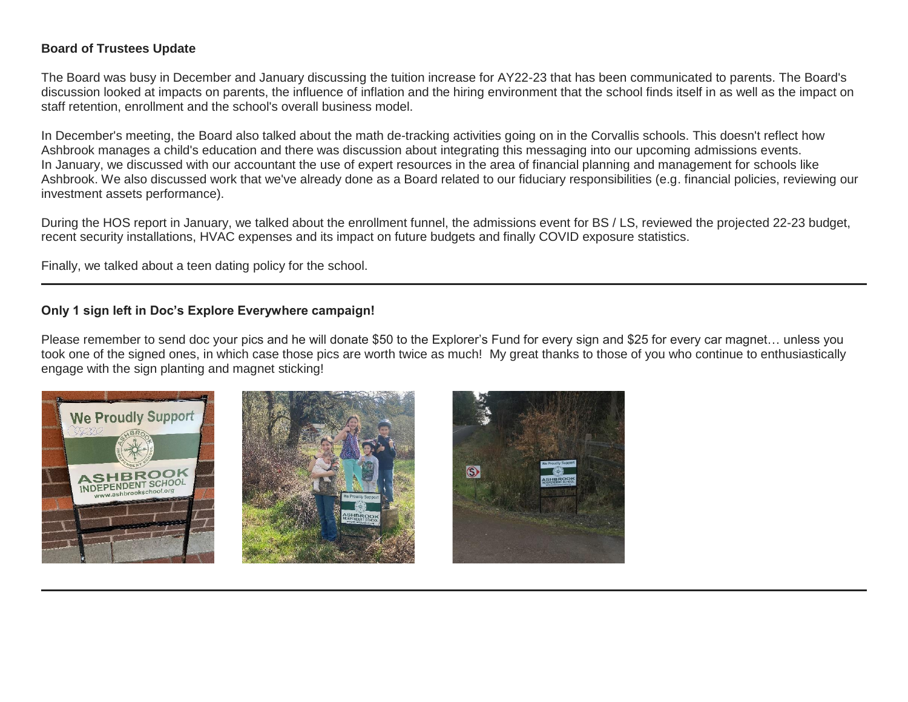## **Board of Trustees Update**

The Board was busy in December and January discussing the tuition increase for AY22-23 that has been communicated to parents. The Board's discussion looked at impacts on parents, the influence of inflation and the hiring environment that the school finds itself in as well as the impact on staff retention, enrollment and the school's overall business model.

In December's meeting, the Board also talked about the math de-tracking activities going on in the Corvallis schools. This doesn't reflect how Ashbrook manages a child's education and there was discussion about integrating this messaging into our upcoming admissions events. In January, we discussed with our accountant the use of expert resources in the area of financial planning and management for schools like Ashbrook. We also discussed work that we've already done as a Board related to our fiduciary responsibilities (e.g. financial policies, reviewing our investment assets performance).

During the HOS report in January, we talked about the enrollment funnel, the admissions event for BS / LS, reviewed the projected 22-23 budget, recent security installations, HVAC expenses and its impact on future budgets and finally COVID exposure statistics.

Finally, we talked about a teen dating policy for the school.

## **Only 1 sign left in Doc's Explore Everywhere campaign!**

Please remember to send doc your pics and he will donate \$50 to the Explorer's Fund for every sign and \$25 for every car magnet… unless you took one of the signed ones, in which case those pics are worth twice as much! My great thanks to those of you who continue to enthusiastically engage with the sign planting and magnet sticking!





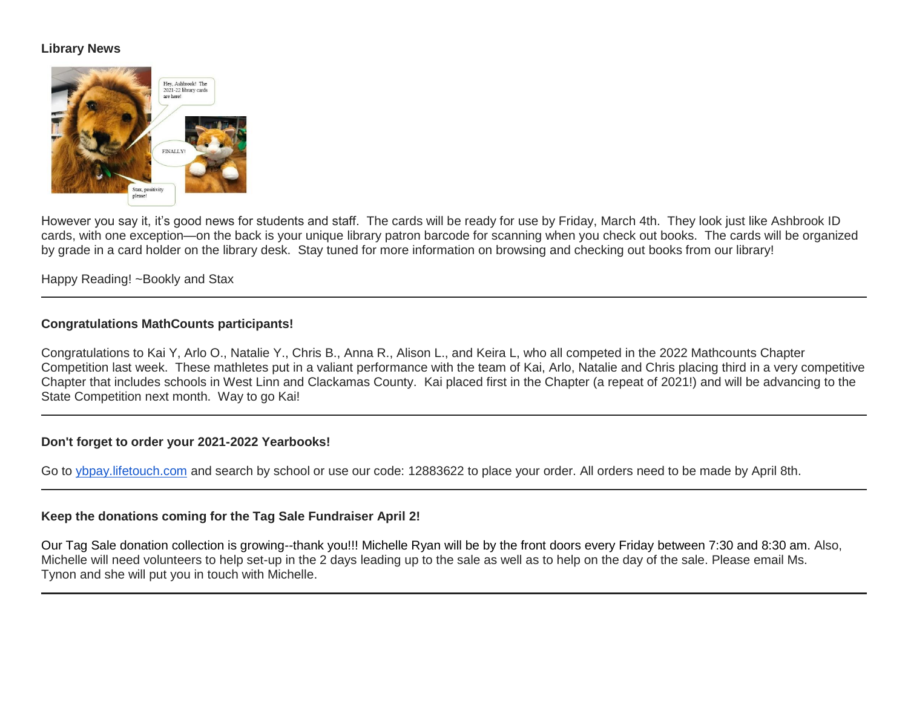## **Library News**



However you say it, it's good news for students and staff. The cards will be ready for use by Friday, March 4th. They look just like Ashbrook ID cards, with one exception—on the back is your unique library patron barcode for scanning when you check out books. The cards will be organized by grade in a card holder on the library desk. Stay tuned for more information on browsing and checking out books from our library!

Happy Reading! ~Bookly and Stax

## **Congratulations MathCounts participants!**

Congratulations to Kai Y, Arlo O., Natalie Y., Chris B., Anna R., Alison L., and Keira L, who all competed in the 2022 Mathcounts Chapter Competition last week. These mathletes put in a valiant performance with the team of Kai, Arlo, Natalie and Chris placing third in a very competitive Chapter that includes schools in West Linn and Clackamas County. Kai placed first in the Chapter (a repeat of 2021!) and will be advancing to the State Competition next month. Way to go Kai!

#### **Don't forget to order your 2021-2022 Yearbooks!**

Go to [ybpay.lifetouch.com](http://ybpay.lifetouch.com/) and search by school or use our code: 12883622 to place your order. All orders need to be made by April 8th.

#### **Keep the donations coming for the Tag Sale Fundraiser April 2!**

Our Tag Sale donation collection is growing--thank you!!! Michelle Ryan will be by the front doors every Friday between 7:30 and 8:30 am. Also, Michelle will need volunteers to help set-up in the 2 days leading up to the sale as well as to help on the day of the sale. Please email Ms. Tynon and she will put you in touch with Michelle.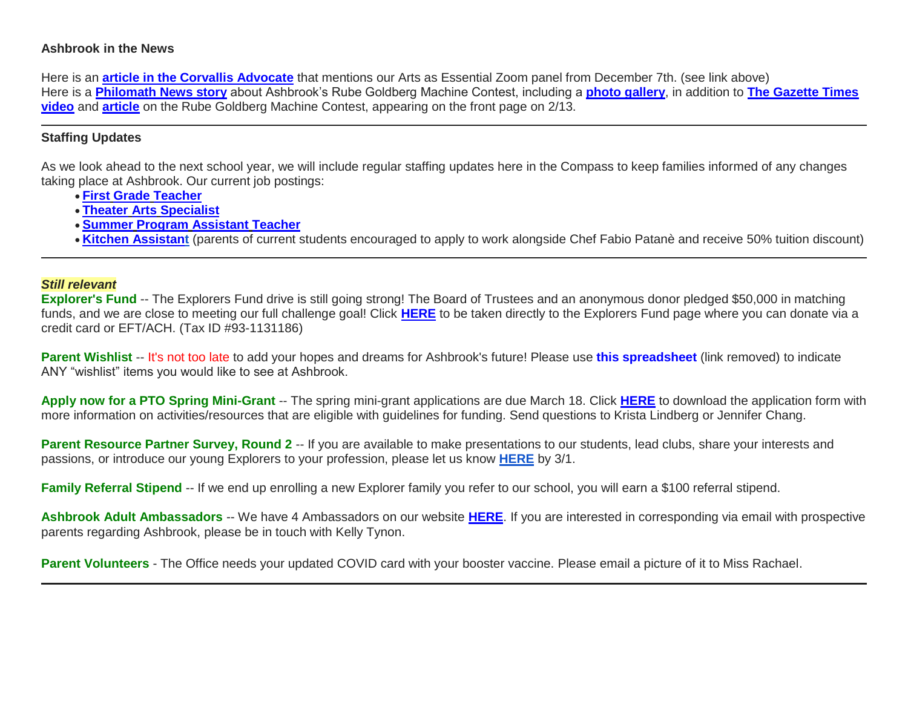#### **Ashbrook in the News**

Here is an **[article in the Corvallis Advocate](http://link.mystudentsprogress.com/ls/click?upn=5XDbAd9r0ovG7GZusFBG8Guvw9TU1u42Vq-2FZ4bN8NHiUJ8dU7OHfr-2FCh7gWjQ8g-2FHokfzxt3Wzs89WNtHKiFOgO7HsmjqAyCC-2BPyq9f-2F7OZ0nbZGtFVkvGFbVNvntu4tt8H3-2BE3ufOmcPfmoktCM7g-3D-3DRFbo_1PndbFfBoQGSZbxwXHHEexw3B2F0fG-2BUmuXm6a-2BX-2Bzt37bmPwv4aifu-2BYhx0Q5HgHAtNYMBf7TZOcuiLHgTYXOxMPqohg3n0f6SJNLNaC3Jf08CnO25DiS5o6tC8YjhsCQ8N4hj-2BeAJN4XlZsBgsvv-2F2le-2FKiVt6R-2Fi60HW7oSS23NGDivzWbaSl8GLXChh2Jd8Ce4yX6nZ2Jy3-2FL7BDOR4Az2z89jevkkvqvoCqg6le36mQbrg17Vv1FB-2B3Abi-2Fae28kI9QxkxY2aGKAVgdPV1-2FrVhRla8UI2asIlCcpP5KCiYmsReKhpGALquNlg0ycloYjm0p3rlxsjCpGLQAqVQ-2FTXGGOWUnn0Vp1vD3Llckfv3-2BVK-2F-2BR6e-2Bx1Qb0xjnNCpKpGrwuegGrwLeQgHrJsIfHikp3IPc-2BpiXzVbXPIn82PEitboJYD7nsBhTOJUK)** that mentions our Arts as Essential Zoom panel from December 7th. (see link above) Here is a **[Philomath News story](http://link.mystudentsprogress.com/ls/click?upn=VTTLfIwNu5QFy05N-2BXKA7KnXho6l21bbKqTvbeI82yfUsemyugi-2Fdxv8m-2BtVn3rRpW1KEtJIIxTBeDqdWLV7jGV8gdQqJQs1Dxm-2FmRW2kxeNnyfvExvnV1qQ1aQv7ZvcgYNrYZP3S6RmAtsLAQzRlQ-3D-3D8tLI_1PndbFfBoQGSZbxwXHHEexw3B2F0fG-2BUmuXm6a-2BX-2Bzt37bmPwv4aifu-2BYhx0Q5HgHAtNYMBf7TZOcuiLHgTYXPFcEN8zQM26eK4NvbhbF7-2Fq0MYwaWcXARm9mvd2YjmPtZuw-2Fe8DMTXFpx18T6uLu0Ojnjd4SzN2xVN5i16y8EVZ-2B737bnFeUZ5a-2B8tvp5HqHi0k2dZk7-2FdnGYU2Jyy97QUpHIQhsmQb4mbyYfccQHDeosXQeFWGpu2m9OLvprCaGIncdS2nEPNrRKoAphM8-2BgDLCvUAFHrAYMgashCDzRt9eIJ4S-2FE81Sl4swGs-2BApdRIHFd2ZKkTPrJpLD1hy5jfW8zkc9a-2Fc9JtmD5LSIr1-2B4aNVDCC426Tv9RmaZU6fj0Ostfzkx1ZlYtWiWMnCWEBeQWlfxH28yT2Pj3YU44g058vxbngvlfla6Cp8GoUzY)** about Ashbrook's Rube Goldberg Machine Contest, including a **[photo gallery](http://link.mystudentsprogress.com/ls/click?upn=VTTLfIwNu5QFy05N-2BXKA7KnXho6l21bbKqTvbeI82ydGKLjcjPFSXowdCdFGzu7IlMD1IZ1Xiu3jpe5SaSU9krU4yZJC0SDG4T5x4EfScbohVcouyUNoLwm8NmjglEHGZJ-2FYgw6o-2F46hoQlqkxQVDaP-2F-2BIKJhmheThpFOxrgyMQ-3DnkWZ_1PndbFfBoQGSZbxwXHHEexw3B2F0fG-2BUmuXm6a-2BX-2Bzt37bmPwv4aifu-2BYhx0Q5HgHAtNYMBf7TZOcuiLHgTYXB8U7EfwHP3NPdpZ2e9Plsm7GBzweBQuhQ82WxU5N0qw3RpZggbcG-2BrcnLjjxVJp4IKX-2BcTtMo-2BY6197wpKAkpPy4WFFzx7XrvzpiQGJI1S0-2BJjebbmqxq9J9CJnnX2IvTH7W1eGKR6zyuJX3XktNuP-2FmEcQjFYrVDkGvHbcAdkPzGNxI3woOVDvhvZ400xPAaUK-2FCdub6nwDhMzRcRUpZj-2Fxq-2BySjCrjXLZtqCB44aJoeKNUVuJkWlkEdBrvVIcnqD3N9uizlZ7sHfIzQ5WbWMpER6ljtx10rfbCBH-2BjvmFQr9MLwSRr1P7HtWKnd7DveXCwpKsnwGNE8LfvhCJqcbsqnGrKmhvSe4mAjyEU60N)**, in addition to **[The Gazette Times](http://link.mystudentsprogress.com/ls/click?upn=5XDbAd9r0ovG7GZusFBG8DqXBLJjK-2B065CPDFMQUfygNcxQXM8esXdp4DbIyoVkAQtl1qW3a-2BpXEUCeJl9CL1EM9sUEkfj7VFAFCXTDKaF-2FyUfFAI1qshzEbTwfFg9WWKC28uhp40LbT0doPfQoFy4Q8ysCOcnhcNf5vI-2Bez2hT-2F1Ak2ayZnJLigncU0B1VENq93cAWNKF-2BlfCbX9dxWzXM3T2p46hYt8H6nH4KJ7nI-3DR3ou_1PndbFfBoQGSZbxwXHHEexw3B2F0fG-2BUmuXm6a-2BX-2Bzt37bmPwv4aifu-2BYhx0Q5HgHAtNYMBf7TZOcuiLHgTYXE4wI3OnYp9fjT13fnAcS3zr5kGWsM5-2FKPKs-2FxaRmq-2FtiFIMd9GF1QKzYsbrS1yHO1OvbIja-2BN1fTOBDiUO8SWi56GCbySZj9bbp3xrkbKtZkmEKjmRFsYfFWgzycr9MsmUanvGnsw53k-2Fi1LlFXSeQspSaBqc9LMuVBpsqiqWmClUARt-2FxFq3FtLYlgqVCjiVcJpUkuIRhcizsdsNrrj8LE1Pj-2FlXQ4pImI0ttUr0Qc487hQvFk0CtEe9LwgdrR2EoEDl1wSYD-2Bh9YIRSxVRVlqMUw4eEjMtmI-2F6ioDFjsrNpGUmL7Ig2yYbzEJO1cGCgIV0H6uhFPq2eFSqnbLpnre0OrZLZZBO396JDZaU2aq)  [video](http://link.mystudentsprogress.com/ls/click?upn=5XDbAd9r0ovG7GZusFBG8DqXBLJjK-2B065CPDFMQUfygNcxQXM8esXdp4DbIyoVkAQtl1qW3a-2BpXEUCeJl9CL1EM9sUEkfj7VFAFCXTDKaF-2FyUfFAI1qshzEbTwfFg9WWKC28uhp40LbT0doPfQoFy4Q8ysCOcnhcNf5vI-2Bez2hT-2F1Ak2ayZnJLigncU0B1VENq93cAWNKF-2BlfCbX9dxWzXM3T2p46hYt8H6nH4KJ7nI-3DR3ou_1PndbFfBoQGSZbxwXHHEexw3B2F0fG-2BUmuXm6a-2BX-2Bzt37bmPwv4aifu-2BYhx0Q5HgHAtNYMBf7TZOcuiLHgTYXE4wI3OnYp9fjT13fnAcS3zr5kGWsM5-2FKPKs-2FxaRmq-2FtiFIMd9GF1QKzYsbrS1yHO1OvbIja-2BN1fTOBDiUO8SWi56GCbySZj9bbp3xrkbKtZkmEKjmRFsYfFWgzycr9MsmUanvGnsw53k-2Fi1LlFXSeQspSaBqc9LMuVBpsqiqWmClUARt-2FxFq3FtLYlgqVCjiVcJpUkuIRhcizsdsNrrj8LE1Pj-2FlXQ4pImI0ttUr0Qc487hQvFk0CtEe9LwgdrR2EoEDl1wSYD-2Bh9YIRSxVRVlqMUw4eEjMtmI-2F6ioDFjsrNpGUmL7Ig2yYbzEJO1cGCgIV0H6uhFPq2eFSqnbLpnre0OrZLZZBO396JDZaU2aq)** and **[article](http://link.mystudentsprogress.com/ls/click?upn=5XDbAd9r0ovG7GZusFBG8DqXBLJjK-2B065CPDFMQUfyjNxMzyzA-2FH6xHLRzpVmh4c3D2-2FT2YsAVTdhIKt4nPGOg6VVLsTyecPc5VB6NfO-2FsLqzprOo8MCkle0Isy7-2FNyaNyCxpxLSgkzSQXsGotQLyDBb7zpPxR8OIU0kOqXe7JWETuxX0jiM1ytZzlgiivJdfxOQbBJlAMl9Es8vm8fNm0AQlmgIDDguAMpZrluoS79tcIXPUbKDTCt1Lo4ZEcvF8M-2BIgjYg9MrM-2Bh2EOXYbcw-3D-3DqvF6_1PndbFfBoQGSZbxwXHHEexw3B2F0fG-2BUmuXm6a-2BX-2Bzt37bmPwv4aifu-2BYhx0Q5HgHAtNYMBf7TZOcuiLHgTYXF610eHo7dlHwrJlcdV68Tsav1EtSauU6H8PKJFZ3LLqP99cCzmFpc-2B2wViBJcIcLPQQoBRfVoqHqg8JbTTsa3Z5kc2xu2WGd1WoWL77uDrI4Ol8d0RSxC2Hf2IvcB592fjt2-2FHMtmY2gFrebx4iLSrzas2MVaeJKAK3GXKaVLEXHbUYCSwSZOga6RqWKUop9y-2FFYgktD0pXZ1pCpTkrh4LmrGRvzMR8Tcks3c96biT539f2swSYlRiPdXTPsakHu-2BXnpebp1Y0ljcHwJpx27bBsOsjaFi6A4JB3baA8AqHjvn2LmlGg9SKiFI74DUNhr93HB-2BviCqX091-2FtZwkD7K1-2BTDRhlhdAQ14IgQmLFbKA)** on the Rube Goldberg Machine Contest, appearing on the front page on 2/13.

## **Staffing Updates**

As we look ahead to the next school year, we will include regular staffing updates here in the Compass to keep families informed of any changes taking place at Ashbrook. Our current job postings:

- **First Grade [Teacher](http://link.mystudentsprogress.com/ls/click?upn=flJ18ETPhCbNgmfSZO-2FamzYtOTBVcI9OPqDnIkqnt5Qmq6a4rOASMgt1ALGncL3otbxa1MDLbNrQl3ChqJI2RQ-3D-3D4yRG_1PndbFfBoQGSZbxwXHHEexw3B2F0fG-2BUmuXm6a-2BX-2Bzt37bmPwv4aifu-2BYhx0Q5HgHAtNYMBf7TZOcuiLHgTYXKWNlRcYRe-2Fy7IxCU4AFCyLgqMzijIIHwvuJHaddcjR-2Ftt8-2BqvMYIz6PMNWmhi9pi1mYDj4-2BT5mZeX3ZkAu2uzJkjWh4vHJaAbgBFPKH6-2B7kCbzkNwTXaofxX-2BWiXyB83Mwvpx3peIHa2tOSNSdLxTyjQOTIfyS1zjV-2FJtsG8m1zj7fUkJfxSpiLT5nIQ-2BVa6jCYS5e8bHLcF4b2gyPmYM88MQAyy5ZhSHprEwzxc955cP2NXi2Xbx0Xet0iYQbMgjx-2BJ2dMYw-2FUYA2HRJ5sUn4pbXOpdA2k0JwlQzNv7sOozlbDq-2FxZIbC9x6IFC2-2BAI7q8MGMaaAD-2BUNfAqEmbc9zeVlkaukLHTgBktfQni0cD)**
- **Theater Arts [Specialist](http://link.mystudentsprogress.com/ls/click?upn=flJ18ETPhCbNgmfSZO-2FamzYtOTBVcI9OPqDnIkqnt5Qmq6a4rOASMgt1ALGncL3oz7LQmF5oMWSMYrnzALmVXg-3D-3Dus-V_1PndbFfBoQGSZbxwXHHEexw3B2F0fG-2BUmuXm6a-2BX-2Bzt37bmPwv4aifu-2BYhx0Q5HgHAtNYMBf7TZOcuiLHgTYXFXHU47sVU4zlUdH0Op1gER-2BqXv0Q5ngdLd0oOLc6kBteUIXVb7bLll6D4q-2FL76sgtbQSJribrpQbboB7xwFUnljnfaT0CgS2kXqLMCeE8JIBu3Dle9Nebxo9P1NTYe3wZ8Teq0UdtbNPpTZ4KZ16IgGX58g5cOPhN25hADXM1DP7SwgBphuXkI6fL-2BQku7CsO9i1B4qUWYuz8aLNAV3GjglY-2Ff-2BLdaXSxMTl8CEFY2h87MZrtXSZ7Wk2fXMerNBw16vEhwZ5lhmr6CHWCHgitCFTHgHeFsbDqffZeYIeuGVPAXm-2BsiRWiepgOkY-2FdeKvHQFKyobo3XKJL5Gn1WoEHtsG-2FuZ0J1m2Ta7X7-2FJz5ZU)**
- **Summer Program [Assistant](http://link.mystudentsprogress.com/ls/click?upn=flJ18ETPhCbNgmfSZO-2FamzYtOTBVcI9OPqDnIkqnt5Qmq6a4rOASMgt1ALGncL3oadflgrTWmU2BE-2FAco-2BFRdQ-3D-3DktMN_1PndbFfBoQGSZbxwXHHEexw3B2F0fG-2BUmuXm6a-2BX-2Bzt37bmPwv4aifu-2BYhx0Q5HgHAtNYMBf7TZOcuiLHgTYXFc0xmZsHsGU5YTLRyWywzUYgV5AKI81ijRx-2B4vJbzXud-2BqQavmNyx9mt9-2BR0P1XNyttPrBVYTrjxje1wpnEdJ-2BbqXixy92-2F16EI0pbt6EMfqAGRfGV67vhMZm8Nmx77aEHAAMO1jgqtr8pCEWYpdqm5z2Byt-2FcmcyycwKv6mKQA77SL2nWAhOjbe8jV6s2A9wBOm-2Bdyc7k8bDpanX1Vp2apyKdGbzuzybzri4S2VdK2LzwLGS-2FCdFfyL3lyPGC16Cx17UnaH3E7ugIfO3aN-2BD8aNdu6qDM-2FeF257-2FNPLXIkZmGhwEBIsvZE-2Bs2eVbzGh7zkWvPVfoIWLJVxPqA02CgGcxQXMjUPgmokUMgbBUCl) Teacher**
- **[Kitchen Assistant](http://link.mystudentsprogress.com/ls/click?upn=flJ18ETPhCbNgmfSZO-2FamzYtOTBVcI9OPqDnIkqnt5Qmq6a4rOASMgt1ALGncL3oOpSIKt7kSMJ72kKajhl-2FZw-3D-3Dw3Sk_1PndbFfBoQGSZbxwXHHEexw3B2F0fG-2BUmuXm6a-2BX-2Bzt37bmPwv4aifu-2BYhx0Q5HgHAtNYMBf7TZOcuiLHgTYXEjuoO0C0qSQ2Aj-2BozCtdgCMp1SuXd-2BDl-2Bjj-2BlDi82nVsyF-2FPlcq5M1zoqgFD9MH5mQD8t72D8LkMyaeXkqpl5PxTRaSic7bGX8ZvuWBCOBpa-2FoI-2FyLK9S6os2mE3fDso8eruKPnvgz1lEA4dQwEgKVQUIMYta-2Fbmq9O4GVcMZ-2FbHhmLWEn-2BJdbsjhzmMLOmEaBhn7XXbn8r-2FTOkbnAL5f2h8DsSHo8Hs-2F8jP9tNXLjcPYgP1POdLmwkqQyW7HHQbAi22kjCXrzQXVHe9-2BbOaI-2BOl0fCzvwjfnv1WOcftQbU-2FnlGmqycnw2DAA-2B4jzX6nHEDVq3E9bKF3pNR9e0N5AHUzh1UeAZl92RCCVIPAht-2B)** (parents of current students encouraged to apply to work alongside Chef Fabio Patanè and receive 50% tuition discount)

#### *Still relevant*

**Explorer's Fund** -- The Explorers Fund drive is still going strong! The Board of Trustees and an anonymous donor pledged \$50,000 in matching funds, and we are close to meeting our full challenge goal! Click **[HERE](http://link.mystudentsprogress.com/ls/click?upn=5XDbAd9r0ovG7GZusFBG8PaUF78UqItDelTGdwk7Y5YuTzHCPAjU3puEFCesf3czmLI6pjYvXrYopLnNSPnw-2Fg-3D-3DhU2U_1PndbFfBoQGSZbxwXHHEexw3B2F0fG-2BUmuXm6a-2BX-2Bzt37bmPwv4aifu-2BYhx0Q5HgHAtNYMBf7TZOcuiLHgTYXFxIIr2-2B5paZNxd0X2EwrShs6kyo0LE5Esz6gQ0GG5ETPivgVsxmKQXM-2B42wgCQD6ZNIAEwJquX9qhVEfRuQVpC6obgUSyu7DwtPBdBkxZmFRRhrRo-2FNp0gQrvI6-2Bu-2BsWII-2B-2F-2BAYFbp9kMpd3ou87c-2FM4OsC-2BNxw-2FCgKp1UMBZnrvldyFXWMKTASkGjrPwLPztVm-2FECKaloy6U1bXVnfmticC16uHKLTCz6mG5qpZBFFZV5vh0Pqfbvhj0jWXg0nU-2B9MSKD3IwaEKLkJZfSEh-2FIVRQ1yAG2LR5YA2zskFDByJCf3UJF4cCAL1Nqxz40wAjQaqlJ1LhMdEs-2FoXqJfQUwO3Wsx8XOl5L9Ru-2B7foLlT)** to be taken directly to the Explorers Fund page where you can donate via a credit card or EFT/ACH. (Tax ID #93-1131186)

**Parent Wishlist** -- It's not too late to add your hopes and dreams for Ashbrook's future! Please use **this spreadsheet** (link removed) to indicate ANY "wishlist" items you would like to see at Ashbrook.

**Apply now for a PTO Spring Mini-Grant** -- The spring mini-grant applications are due March 18. Click **[HERE](http://link.mystudentsprogress.com/ls/click?upn=n7jYKe39nC4PrVAw2BzaOolgU5XUleaJ61qfvNJxTW3uoi8RFzNYUfSc1qXdqajA34djZWrxIBJBxzp2whbybvqIYp3dDOkCDgKesziBdClenDsTc-2FUGtZuJNxIh5RAijA4c-2FxLDZKxjmas3d9mUCg2OGUEiTYCsalquiRQy9vw-3DVN7T_1PndbFfBoQGSZbxwXHHEexw3B2F0fG-2BUmuXm6a-2BX-2Bzt37bmPwv4aifu-2BYhx0Q5HgHAtNYMBf7TZOcuiLHgTYXF3MlAYaxhzsDo2A6uwGDibrb5KslZZUpsdpngSRC7dp2sD69bx0c0wUPb5zAxY4KbSIjQxlbK3pr3cFUeNMC-2BgJwWGb9btznukyWhgGAopXGD6KKZ-2B9jt8wG6ggsh9-2Fu1U7haQ8Tx9Nnkv7tK3itTlCEdmq1WHnrppEgMV-2BhGykXdkRZAWaQm9y-2F8lgIMjeMooVjv8ZnAn1PYzi7qAlg-2FuERuZyQ4S5Otll3mJec6-2FwptO8BqRb9ePwFeyyCmFLmLHldqfywFfRkq-2FMWVDYCF3jwDJb1ebRlnNKUTPgqDGsCluC8sjCJY2-2F8OsvLWhji-2Bj6zRl2pAQVIV-2B9CUzAVYCHLVO1vi2jngkxdmP2ZnpT)** to download the application form with more information on activities/resources that are eligible with guidelines for funding. Send questions to Krista Lindberg or Jennifer Chang.

Parent Resource Partner Survey, Round 2 -- If you are available to make presentations to our students, lead clubs, share your interests and passions, or introduce our young Explorers to your profession, please let us know **[HERE](http://link.mystudentsprogress.com/ls/click?upn=VpBe6Z9t6RkEC4qAoQCeri-2FFFh7llDqKppeMq4GAyjRWQxckQw26M-2Bv6Io9sYjjz4LEiJHTozdZCLKFFkbwcWfBc9t4DTxvLN3iiyujlCG3weG5LSs-2B-2F0Gcezyz06lL-2BNYvJzWNkYp09SVUNm9DQeA-3D-3DP0s-_1PndbFfBoQGSZbxwXHHEexw3B2F0fG-2BUmuXm6a-2BX-2Bzt37bmPwv4aifu-2BYhx0Q5HgHAtNYMBf7TZOcuiLHgTYXC65R-2Blb8PqQ7oSzoJ7iU0UuRgv9f5h-2F2gSzqRlTxC60FWfbkOsZeW7MfTphwlh-2BRZuIJqgc3ihJBzlWMqPzJAqBoprYKF4QrS68SoVhMRxJq2dctFx0Zo73F9ceOhfveHBTrKUKZH8A80OLamvZrcbCeNOgtsXuJC8xFrjBBx5T1m4Tdeq9h54fbhOTa17BFZIwxXa0zmNmVtM-2FgjWImwvqPXYBPb15f1INQL7OljSp5GdpY1Q-2FpXNfmsYUchLj7838X99yCKucMfkujF8huuVjab3h3GxkC9Aw2a8VuhsbxiQT1pLM0R2oMeynR65G-2Bwp1Mja9OSnzQ35PeCv8VuUrjS2gFL-2BySwjfiVYvbRha)** by 3/1.

**Family Referral Stipend** -- If we end up enrolling a new Explorer family you refer to our school, you will earn a \$100 referral stipend.

Ashbrook Adult Ambassadors -- We have 4 Ambassadors on our website [HERE](http://link.mystudentsprogress.com/ls/click?upn=5XDbAd9r0ovG7GZusFBG8PaUF78UqItDelTGdwk7Y5avyNmvH-2F-2BAj2asxP-2B-2BAJiKXbDbngZWh42DNvOHgc5oAw-3D-3Dj5im_1PndbFfBoQGSZbxwXHHEexw3B2F0fG-2BUmuXm6a-2BX-2Bzt37bmPwv4aifu-2BYhx0Q5HgHAtNYMBf7TZOcuiLHgTYXHv4w8ZA3uvlmUJyzWHBTMHG7HhHxy-2FMCxuJkNs4kDna3pDwG2pk-2FfbxYBGxZ5EXDOzgcto5bR9kB-2BBbU8nweruPc5CmYj8hzGENlHaZ-2BJ5Q5NVUz-2FNy1pPq-2BZdy1yQsjGL78J4-2FPZKIoWxaPHMboQ8-2B-2FwZeoPsWO6n0cO8-2FnpRBcVsgR5KaQMIhkxqA72bi0dBkhMV8w2vSeSKpfb8a-2BSnpxoZqCBSmEa4Z3euPoraWedtwVIWajs2E5KOZ4sJXdy0Na6A1tuxhma559VzTN7QStSN-2Fdu5l1kzdaH5ml54JsatNl8tOC6EL6Zmrzs5MZBzRJh-2BVBDNg19RRNQMYhg7XyhTKytlvLgyyjc9wrBa1). If you are interested in corresponding via email with prospective parents regarding Ashbrook, please be in touch with Kelly Tynon.

**Parent Volunteers** - The Office needs your updated COVID card with your booster vaccine. Please email a picture of it to Miss Rachael.